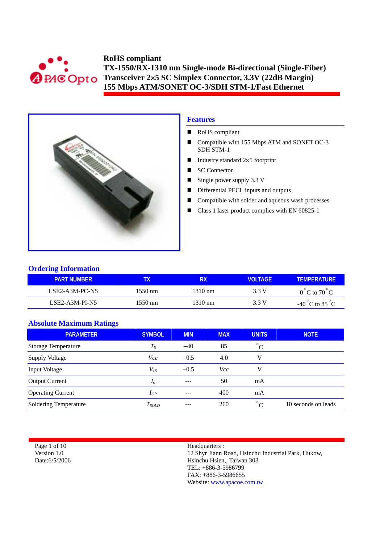



# **Features**

- RoHS compliant
- Compatible with 155 Mbps ATM and SONET OC-3 SDH STM-1
- Industry standard  $2\times 5$  footprint
- SC Connector
- Single power supply  $3.3 \text{ V}$
- Differential PECL inputs and outputs
- Compatible with solder and aqueous wash processes
- Class 1 laser product complies with EN 60825-1

## **Ordering Information**

| <b>PART NUMBER</b> | 'X                | RX                | <b>VOLTAGE</b> | <b>TEMPERATURE</b>                 |
|--------------------|-------------------|-------------------|----------------|------------------------------------|
| LSE2-A3M-PC-N5     | $1550 \text{ nm}$ | $1310 \text{ nm}$ | 3.3 V          | $0^{\circ}$ C to $70^{\circ}$ C    |
| $LSE2-A3M-PI-N5$   | $1550 \text{ nm}$ | 1310 nm           | 3.3 V          | $-40^{\circ}$ C to 85 $^{\circ}$ C |

# **Absolute Maximum Ratings**

| <b>PARAMETER</b>           | <b>SYMBOL</b>  | <b>MIN</b> | <b>MAX</b> | <b>UNITS</b>          | <b>NOTE</b>         |
|----------------------------|----------------|------------|------------|-----------------------|---------------------|
| <b>Storage Temperature</b> | $T_S$          | $-40$      | 85         | $^{\circ}C$           |                     |
| <b>Supply Voltage</b>      | <i>Vcc</i>     | $-0.5$     | 4.0        | v                     |                     |
| Input Voltage              | $V_{lN}$       | $-0.5$     | Vcc        | V                     |                     |
| <b>Output Current</b>      | I <sub>o</sub> | $- - -$    | 50         | mA                    |                     |
| <b>Operating Current</b>   | $I_{OP}$       | ---        | 400        | mA                    |                     |
| Soldering Temperature      | $T_{SOLD}$     | ---        | 260        | $\circ$<br>$\sqrt{ }$ | 10 seconds on leads |

Page 1 of 10 Version 1.0 Date:6/5/2006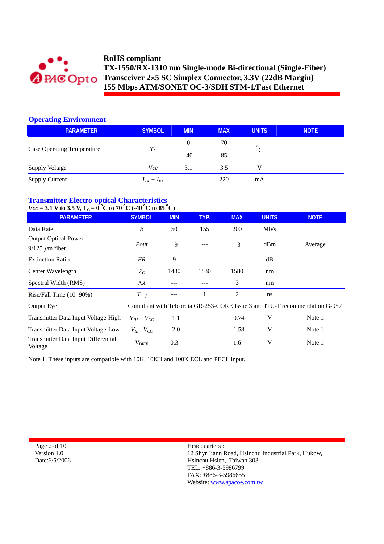

# **Operating Environment**

| <b>PARAMETER</b>                  | <b>SYMBOL</b>   | <b>MIN</b> | <b>MAX</b> | <b>UNITS</b> | <b>NOTE</b> |
|-----------------------------------|-----------------|------------|------------|--------------|-------------|
|                                   |                 | $\theta$   | 70         | $\circ$      |             |
| <b>Case Operating Temperature</b> | $T_C$           | $-40$      | 85         |              |             |
| Supply Voltage                    | Vcc             | 3.1        | 3.5        |              |             |
| <b>Supply Current</b>             | $I_{TX}+I_{RX}$ | $---$      | 220        | mA           |             |

# **Transmitter Electro-optical Characteristics**

# $Vcc = 3.1$  V to 3.5 V,  $T_c = 0^\circ$ C to 70  $^\circ$ C (-40  $^\circ$ C to 85  $^\circ$ C)

| <b>PARAMETER</b>                                      | <b>SYMBOL</b>       | <b>MIN</b> | TYP. | <b>MAX</b> | <b>UNITS</b> | <b>NOTE</b>                                                                 |
|-------------------------------------------------------|---------------------|------------|------|------------|--------------|-----------------------------------------------------------------------------|
| Data Rate                                             | B                   | 50         | 155  | <b>200</b> | Mb/s         |                                                                             |
| <b>Output Optical Power</b>                           |                     |            |      |            |              |                                                                             |
| $9/125 \ \mu m$ fiber                                 | Pout                | $-9$       |      | $-3$       | dBm          | Average                                                                     |
| <b>Extinction Ratio</b>                               | ER                  | 9          | ---  |            | dB           |                                                                             |
| Center Wavelength                                     | $\lambda_C$         | 1480       | 1530 | 1580       | nm           |                                                                             |
| Spectral Width (RMS)                                  | $\Delta \lambda$    |            |      | 3          | nm           |                                                                             |
| Rise/Fall Time (10-90%)                               | $T_{r,f}$           | ---        |      | 2          | ns           |                                                                             |
| Output Eye                                            |                     |            |      |            |              | Compliant with Telcordia GR-253-CORE Issue 3 and ITU-T recommendation G-957 |
| Transmitter Data Input Voltage-High                   | $V_{IH} - V_{CC}$   | $-1.1$     |      | $-0.74$    | V            | Note 1                                                                      |
| Transmitter Data Input Voltage-Low                    | $V_{IL}$ – $V_{CC}$ | $-2.0$     |      | $-1.58$    | V            | Note 1                                                                      |
| <b>Transmitter Data Input Differential</b><br>Voltage | $V_{\text{DIFF}}$   | 0.3        |      | 1.6        | V            | Note 1                                                                      |

Note 1: These inputs are compatible with 10K, 10KH and 100K ECL and PECL input.

Page 2 of 10 Version 1.0 Date:6/5/2006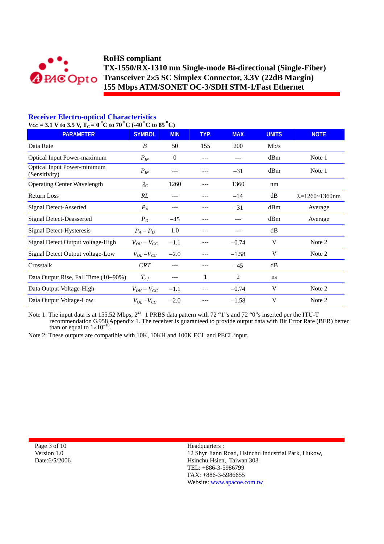

# **Receiver Electro-optical Characteristics**

 $Vcc = 3.1$  V to 3.5 V,  $T_c = 0$  °C to 70 °C (-40 °C to 85 °C)

| $-3.1$ $\sqrt{0.9}$ $\sqrt{1.0}$ $-0$ $\sqrt{0.00}$ $\sqrt{0.00}$<br><b>PARAMETER</b> | <b>SYMBOL</b>       | <b>MIN</b>     | TYP. | <b>MAX</b>     | <b>UNITS</b> | <b>NOTE</b>                |  |
|---------------------------------------------------------------------------------------|---------------------|----------------|------|----------------|--------------|----------------------------|--|
| Data Rate                                                                             | B                   | 50             | 155  | 200            | Mb/s         |                            |  |
| Optical Input Power-maximum                                                           | $P_{I\!N}$          | $\overline{0}$ |      |                | dBm          | Note 1                     |  |
| <b>Optical Input Power-minimum</b><br>(Sensitivity)                                   | $P_{I\!N}$          |                |      | $-31$          | dBm          | Note 1                     |  |
| <b>Operating Center Wavelength</b>                                                    | $\lambda_C$         | 1260           |      | 1360           | nm           |                            |  |
| Return Loss                                                                           | RL                  | $---$          |      | $-14$          | dB           | $\lambda = 1260 - 1360$ nm |  |
| Signal Detect-Asserted                                                                | $P_A$               | ---            |      | $-31$          | dBm          | Average                    |  |
| <b>Signal Detect-Deasserted</b>                                                       | $P_D$               | $-45$          |      |                | dBm          | Average                    |  |
| Signal Detect-Hysteresis                                                              | $P_A - P_D$         | 1.0            |      |                | dB           |                            |  |
| Signal Detect Output voltage-High                                                     | $V_{OH} - V_{CC}$   | $-1.1$         |      | $-0.74$        | V            | Note 2                     |  |
| Signal Detect Output voltage-Low                                                      | $V_{OL}$ – $V_{CC}$ | $-2.0$         |      | $-1.58$        | V            | Note 2                     |  |
| Crosstalk                                                                             | <b>CRT</b>          | $---$          |      | $-45$          | dB           |                            |  |
| Data Output Rise, Fall Time (10–90%)                                                  | $T_{r,f}$           | ---            | 1    | $\overline{c}$ | ns           |                            |  |
| Data Output Voltage-High                                                              | $V_{OH}-V_{CC}$     | $-1.1$         |      | $-0.74$        | V            | Note 2                     |  |
| Data Output Voltage-Low                                                               | $V_{OL}$ - $V_{CC}$ | $-2.0$         |      | $-1.58$        | V            | Note 2                     |  |

Note 1: The input data is at 155.52 Mbps,  $2^{23}$ –1 PRBS data pattern with 72 "1"s and 72 "0"s inserted per the ITU-T recommendation G.958 Appendix 1. The receiver is guaranteed to provide output data with Bit Error Rate (BER) better than or equal to  $1\times10^{-10}$ .

Note 2: These outputs are compatible with 10K, 10KH and 100K ECL and PECL input.

Page 3 of 10 Version 1.0 Date:6/5/2006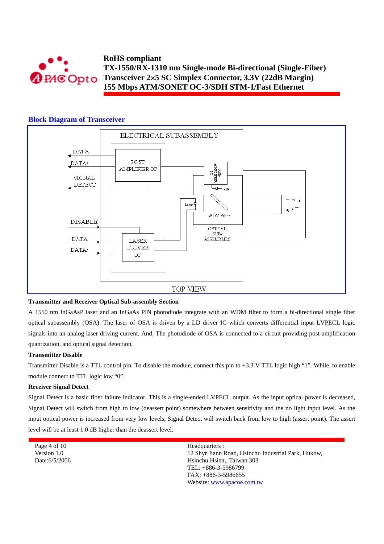

# **Block Diagram of Transceiver**



## **Transmitter and Receiver Optical Sub-assembly Section**

A 1550 nm InGaAsP laser and an InGaAs PIN photodiode integrate with an WDM filter to form a bi-directional single fiber optical subassembly (OSA). The laser of OSA is driven by a LD driver IC which converts differential input LVPECL logic signals into an analog laser driving current. And, The photodiode of OSA is connected to a circuit providing post-amplification quantization, and optical signal detection.

### **Transmitter Disable**

Transmitter Disable is a TTL control pin. To disable the module, connect this pin to +3.3 V TTL logic high "1". While, to enable module connect to TTL logic low "0".

#### **Receiver Signal Detect**

Signal Detect is a basic fiber failure indicator. This is a single-ended LVPECL output. As the input optical power is decreased, Signal Detect will switch from high to low (deassert point) somewhere between sensitivity and the no light input level. As the input optical power is increased from very low levels, Signal Detect will switch back from low to high (assert point). The assert level will be at least 1.0 dB higher than the deassert level.

| Page 4 of $10$ | Headquarters :                                      |
|----------------|-----------------------------------------------------|
| Version 1.0    | 12 Shyr Jiann Road, Hsinchu Industrial Park, Hukow, |
| Date: 6/5/2006 | Hsinchu Hsien., Taiwan 303                          |
|                | TEL: $+886-3-5986799$                               |
|                | $FAX: +886-3-5986655$                               |
|                | Website: www.apacoe.com.tw                          |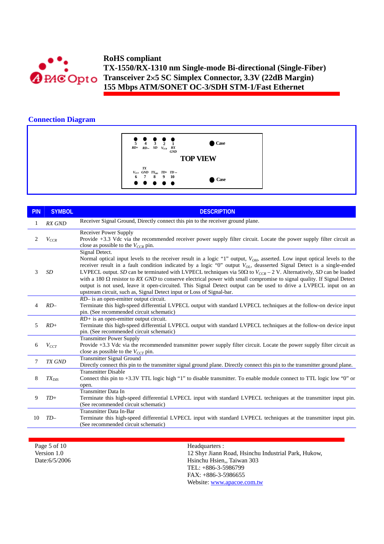

# **Connection Diagram**



| <b>PIN</b>     | <b>SYMBOL</b> | <b>DESCRIPTION</b>                                                                                                                                                                                                                                                                                                                                                                                                                                                                                                                                                                                                                                                                                                                             |
|----------------|---------------|------------------------------------------------------------------------------------------------------------------------------------------------------------------------------------------------------------------------------------------------------------------------------------------------------------------------------------------------------------------------------------------------------------------------------------------------------------------------------------------------------------------------------------------------------------------------------------------------------------------------------------------------------------------------------------------------------------------------------------------------|
|                | <b>RX GND</b> | Receiver Signal Ground, Directly connect this pin to the receiver ground plane.                                                                                                                                                                                                                                                                                                                                                                                                                                                                                                                                                                                                                                                                |
| $\overline{2}$ | $V_{CCR}$     | <b>Receiver Power Supply</b><br>Provide +3.3 Vdc via the recommended receiver power supply filter circuit. Locate the power supply filter circuit as<br>close as possible to the $V_{CCR}$ pin.                                                                                                                                                                                                                                                                                                                                                                                                                                                                                                                                                |
| 3              | <b>SD</b>     | Signal Detect.<br>Normal optical input levels to the receiver result in a logic "1" output, $V_{OH}$ , asserted. Low input optical levels to the<br>receiver result in a fault condition indicated by a logic "0" output $V_{OL}$ , deasserted Signal Detect is a single-ended<br>LVPECL output. SD can be terminated with LVPECL techniques via 50 $\Omega$ to $V_{CCR}$ – 2 V. Alternatively, SD can be loaded<br>with a 180 $\Omega$ resistor to RX GND to conserve electrical power with small compromise to signal quality. If Signal Detect<br>output is not used, leave it open-circuited. This Signal Detect output can be used to drive a LVPECL input on an<br>upstream circuit, such as, Signal Detect input or Loss of Signal-bar. |
| 4              | $RD-$         | <i>RD</i> – is an open-emitter output circuit.<br>Terminate this high-speed differential LVPECL output with standard LVPECL techniques at the follow-on device input<br>pin. (See recommended circuit schematic)                                                                                                                                                                                                                                                                                                                                                                                                                                                                                                                               |
| 5              | $RD+$         | $RD$ + is an open-emitter output circuit.<br>Terminate this high-speed differential LVPECL output with standard LVPECL techniques at the follow-on device input<br>pin. (See recommended circuit schematic)                                                                                                                                                                                                                                                                                                                                                                                                                                                                                                                                    |
| 6              | $V_{CCT}$     | <b>Transmitter Power Supply</b><br>Provide +3.3 Vdc via the recommended transmitter power supply filter circuit. Locate the power supply filter circuit as<br>close as possible to the $V_{CCT}$ pin.                                                                                                                                                                                                                                                                                                                                                                                                                                                                                                                                          |
| 7              | <b>TX GND</b> | <b>Transmitter Signal Ground</b><br>Directly connect this pin to the transmitter signal ground plane. Directly connect this pin to the transmitter ground plane.                                                                                                                                                                                                                                                                                                                                                                                                                                                                                                                                                                               |
| 8              | $TX_{DIS}$    | <b>Transmitter Disable</b><br>Connect this pin to +3.3V TTL logic high "1" to disable transmitter. To enable module connect to TTL logic low "0" or<br>open.                                                                                                                                                                                                                                                                                                                                                                                                                                                                                                                                                                                   |
| 9              | $TD+$         | <b>Transmitter Data In</b><br>Terminate this high-speed differential LVPECL input with standard LVPECL techniques at the transmitter input pin.<br>(See recommended circuit schematic)                                                                                                                                                                                                                                                                                                                                                                                                                                                                                                                                                         |
| 10             | $TD-$         | <b>Transmitter Data In-Bar</b><br>Terminate this high-speed differential LVPECL input with standard LVPECL techniques at the transmitter input pin.<br>(See recommended circuit schematic)                                                                                                                                                                                                                                                                                                                                                                                                                                                                                                                                                     |

Page 5 of 10 Version 1.0 Date:6/5/2006 Headquarters : 12 Shyr Jiann Road, Hsinchu Industrial Park, Hukow, Hsinchu Hsien,, Taiwan 303 TEL: +886-3-5986799 FAX: +886-3-5986655 Website: www.apacoe.com.tw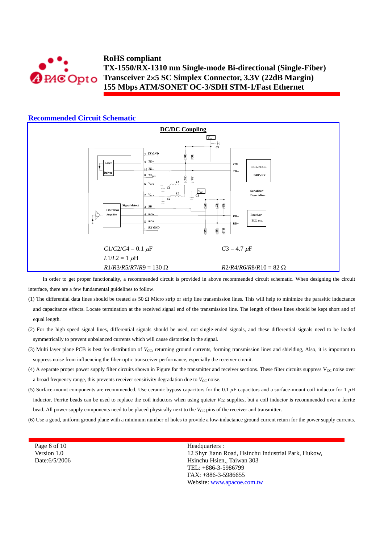

#### **Recommended Circuit Schematic DC/DC Coupling**  $V_{cc}$  $+H$ *C***4** *TX GND* **7** *RR***1 3** *TD***+ 9 Laser** *TD***+ ECL/PECL** *TD*− **10** *TD*− **Driver**  $TX_{\text{D}}$ **DRIVER** *R***2** *R***4** *L***1**  $V_{CG}$ **6**  $\pm$ *C***1**  $\frac{V_C}{C3}$ **Serializer/** *L***2 Deserializer**  $V_{CCR}$ **2**  $\frac{1}{x}$   $\frac{c_2}{x}$ 빍 합 **Signal detect 6** *R***5** *R***7 10** *R***9** *SD* **3 LIMITING** *RD*− **Pre-Amp Receiver 4** *RD*− **Amplifier PLL etc. 5** *RD+ RD***+** *RX GND R***1** *RR***8**  $C1/C2/C4 = 0.1 \mu\text{F}$  *C*3 = 4.7  $\mu\text{F}$  $L1/L2 = 1 \mu H$  $R1/R3/R5/R7/R9 = 130 \Omega$   $R2/R4/R6/R8/R10 = 82 \Omega$ In order to get proper functionality, a recommended circuit is provided in above recommended circuit schematic. When designing the circuit

interface, there are a few fundamental guidelines to follow.

- (1) The differential data lines should be treated as 50  $\Omega$  Micro strip or strip line transmission lines. This will help to minimize the parasitic inductance and capacitance effects. Locate termination at the received signal end of the transmission line. The length of these lines should be kept short and of equal length.
- (2) For the high speed signal lines, differential signals should be used, not single-ended signals, and these differential signals need to be loaded symmetrically to prevent unbalanced currents which will cause distortion in the signal.
- (3) Multi layer plane PCB is best for distribution of *V<sub>CC</sub>*, returning ground currents, forming transmission lines and shielding, Also, it is important to suppress noise from influencing the fiber-optic transceiver performance, especially the receiver circuit.
- (4) A separate proper power supply filter circuits shown in Figure for the transmitter and receiver sections. These filter circuits suppress  $V_{CC}$  noise over a broad frequency range, this prevents receiver sensitivity degradation due to  $V_{CC}$  noise.
- (5) Surface-mount components are recommended. Use ceramic bypass capacitors for the 0.1 *µ*F capacitors and a surface-mount coil inductor for 1 *µ*H inductor. Ferrite beads can be used to replace the coil inductors when using quieter  $V_{CC}$  supplies, but a coil inductor is recommended over a ferrite bead. All power supply components need to be placed physically next to the  $V_{CC}$  pins of the receiver and transmitter.
- (6) Use a good, uniform ground plane with a minimum number of holes to provide a low-inductance ground current return for the power supply currents.

Page 6 of 10 Version 1.0 Date:6/5/2006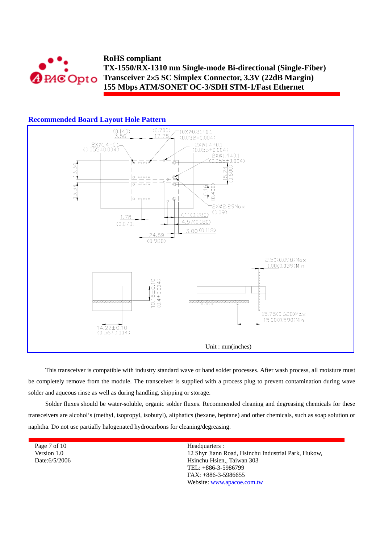

## **Recommended Board Layout Hole Pattern**



This transceiver is compatible with industry standard wave or hand solder processes. After wash process, all moisture must be completely remove from the module. The transceiver is supplied with a process plug to prevent contamination during wave solder and aqueous rinse as well as during handling, shipping or storage.

Solder fluxes should be water-soluble, organic solder fluxes. Recommended cleaning and degreasing chemicals for these transceivers are alcohol's (methyl, isopropyl, isobutyl), aliphatics (hexane, heptane) and other chemicals, such as soap solution or naphtha. Do not use partially halogenated hydrocarbons for cleaning/degreasing.

Page 7 of 10 Version 1.0 Date:6/5/2006 Headquarters : 12 Shyr Jiann Road, Hsinchu Industrial Park, Hukow, Hsinchu Hsien,, Taiwan 303 TEL: +886-3-5986799 FAX: +886-3-5986655 Website: www.apacoe.com.tw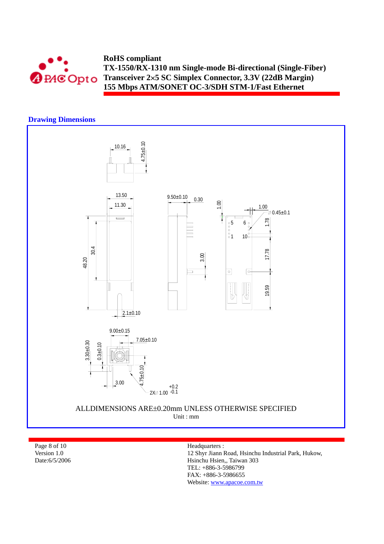

# **Drawing Dimensions**



Page 8 of 10 Version 1.0 Date:6/5/2006 Headquarters :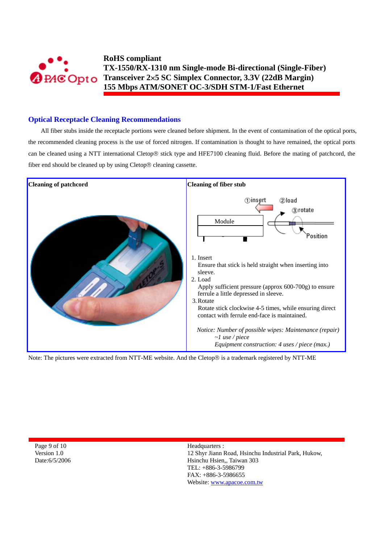

# **Optical Receptacle Cleaning Recommendations**

All fiber stubs inside the receptacle portions were cleaned before shipment. In the event of contamination of the optical ports, the recommended cleaning process is the use of forced nitrogen. If contamination is thought to have remained, the optical ports can be cleaned using a NTT international Cletop® stick type and HFE7100 cleaning fluid. Before the mating of patchcord, the fiber end should be cleaned up by using Cletop® cleaning cassette.



Note: The pictures were extracted from NTT-ME website. And the Cletop® is a trademark registered by NTT-ME

Page 9 of 10 Version 1.0 Date:6/5/2006